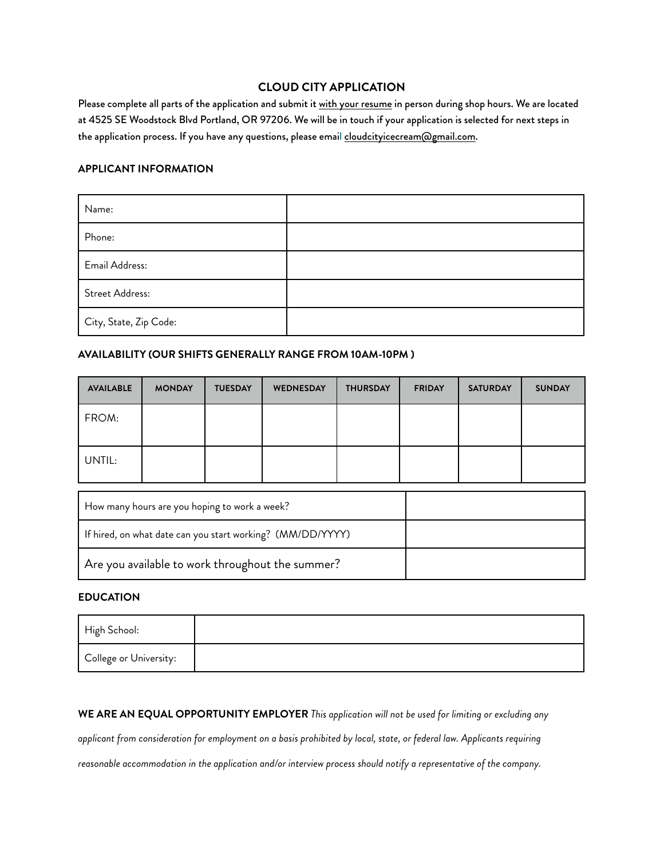# **CLOUD CITY APPLICATION**

Please complete all parts of the application and submit it with your resume in person during shop hours. We are located at 4525 SE Woodstock Blvd Portland, OR 97206. We will be in touch if your application is selected for next steps in the application process. If you have any questions, please email [cloudcityicecream@gmail.com.](mailto:cloudcityicecream@gmail.com)

### **APPLICANT INFORMATION**

| Name:                  |  |
|------------------------|--|
| Phone:                 |  |
| Email Address:         |  |
| Street Address:        |  |
| City, State, Zip Code: |  |

### **AVAILABILITY (OUR SHIFTS GENERALLY RANGE FROM 10AM-10PM )**

| <b>AVAILABLE</b> | <b>MONDAY</b> | <b>TUESDAY</b> | WEDNESDAY | <b>THURSDAY</b> | <b>FRIDAY</b> | <b>SATURDAY</b> | <b>SUNDAY</b> |
|------------------|---------------|----------------|-----------|-----------------|---------------|-----------------|---------------|
| FROM:            |               |                |           |                 |               |                 |               |
| UNTIL:           |               |                |           |                 |               |                 |               |

| How many hours are you hoping to work a week?              |  |
|------------------------------------------------------------|--|
| If hired, on what date can you start working? (MM/DD/YYYY) |  |
| $\mid$ Are you available to work throughout the summer?    |  |

# **EDUCATION**

| High School:           |  |
|------------------------|--|
| College or University: |  |

**WE ARE AN EQUAL OPPORTUNITY EMPLOYER** *This application will not be used for limiting or excluding any* 

*applicant from consideration for employment on a basis prohibited by local, state, or federal law. Applicants requiring* 

*reasonable accommodation in the application and/or interview process should notify a representative of the company.*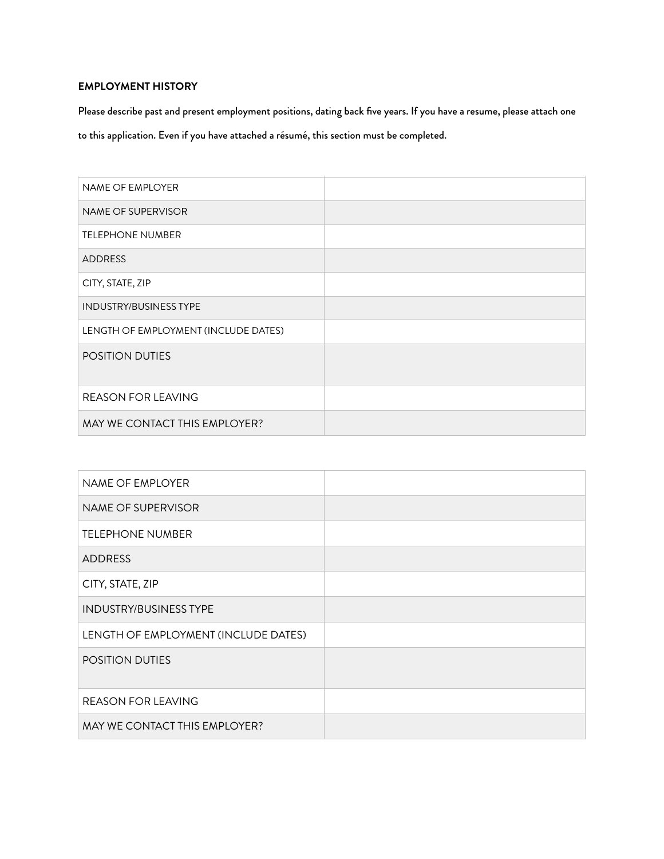# **EMPLOYMENT HISTORY**

Please describe past and present employment positions, dating back five years. If you have a resume, please attach one to this application. Even if you have attached a résumé, this section must be completed.

| <b>NAME OF EMPLOYER</b>              |  |
|--------------------------------------|--|
| NAME OF SUPERVISOR                   |  |
| <b>TELEPHONE NUMBER</b>              |  |
| <b>ADDRESS</b>                       |  |
| CITY, STATE, ZIP                     |  |
| <b>INDUSTRY/BUSINESS TYPE</b>        |  |
| LENGTH OF EMPLOYMENT (INCLUDE DATES) |  |
| <b>POSITION DUTIES</b>               |  |
| <b>REASON FOR LEAVING</b>            |  |
| MAY WE CONTACT THIS EMPLOYER?        |  |

| NAME OF EMPLOYER                     |  |
|--------------------------------------|--|
| NAME OF SUPERVISOR                   |  |
| <b>TELEPHONE NUMBER</b>              |  |
| <b>ADDRESS</b>                       |  |
| CITY, STATE, ZIP                     |  |
| <b>INDUSTRY/BUSINESS TYPE</b>        |  |
| LENGTH OF EMPLOYMENT (INCLUDE DATES) |  |
| <b>POSITION DUTIES</b>               |  |
| <b>REASON FOR LEAVING</b>            |  |
| MAY WE CONTACT THIS EMPLOYER?        |  |